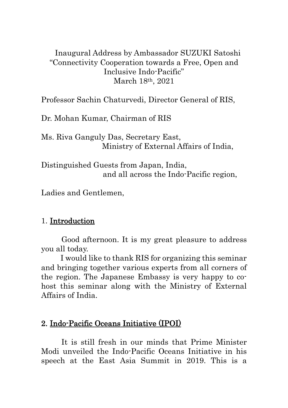## Inaugural Address by Ambassador SUZUKI Satoshi "Connectivity Cooperation towards a Free, Open and Inclusive Indo-Pacific" March 18th, 2021

Professor Sachin Chaturvedi, Director General of RIS,

Dr. Mohan Kumar, Chairman of RIS

Ms. Riva Ganguly Das, Secretary East, Ministry of External Affairs of India,

Distinguished Guests from Japan, India, and all across the Indo-Pacific region,

Ladies and Gentlemen,

## 1. Introduction

Good afternoon. It is my great pleasure to address you all today.

I would like to thank RIS for organizing this seminar and bringing together various experts from all corners of the region. The Japanese Embassy is very happy to cohost this seminar along with the Ministry of External Affairs of India.

## 2. Indo-Pacific Oceans Initiative (IPOI)

It is still fresh in our minds that Prime Minister Modi unveiled the Indo-Pacific Oceans Initiative in his speech at the East Asia Summit in 2019. This is a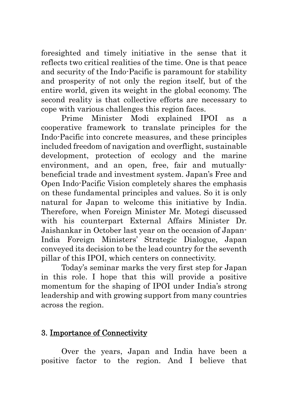foresighted and timely initiative in the sense that it reflects two critical realities of the time. One is that peace and security of the Indo-Pacific is paramount for stability and prosperity of not only the region itself, but of the entire world, given its weight in the global economy. The second reality is that collective efforts are necessary to cope with various challenges this region faces.

Prime Minister Modi explained IPOI as a cooperative framework to translate principles for the Indo-Pacific into concrete measures, and these principles included freedom of navigation and overflight, sustainable development, protection of ecology and the marine environment, and an open, free, fair and mutuallybeneficial trade and investment system. Japan's Free and Open Indo-Pacific Vision completely shares the emphasis on these fundamental principles and values. So it is only natural for Japan to welcome this initiative by India. Therefore, when Foreign Minister Mr. Motegi discussed with his counterpart External Affairs Minister Dr. Jaishankar in October last year on the occasion of Japan-India Foreign Ministers' Strategic Dialogue, Japan conveyed its decision to be the lead country for the seventh pillar of this IPOI, which centers on connectivity.

Today's seminar marks the very first step for Japan in this role. I hope that this will provide a positive momentum for the shaping of IPOI under India's strong leadership and with growing support from many countries across the region.

## 3. Importance of Connectivity

Over the years, Japan and India have been a positive factor to the region. And I believe that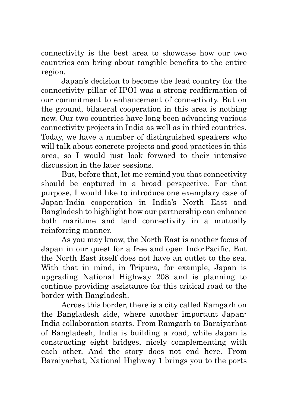connectivity is the best area to showcase how our two countries can bring about tangible benefits to the entire region.

Japan's decision to become the lead country for the connectivity pillar of IPOI was a strong reaffirmation of our commitment to enhancement of connectivity. But on the ground, bilateral cooperation in this area is nothing new. Our two countries have long been advancing various connectivity projects in India as well as in third countries. Today, we have a number of distinguished speakers who will talk about concrete projects and good practices in this area, so I would just look forward to their intensive discussion in the later sessions.

But, before that, let me remind you that connectivity should be captured in a broad perspective. For that purpose, I would like to introduce one exemplary case of Japan-India cooperation in India's North East and Bangladesh to highlight how our partnership can enhance both maritime and land connectivity in a mutually reinforcing manner.

As you may know, the North East is another focus of Japan in our quest for a free and open Indo-Pacific. But the North East itself does not have an outlet to the sea. With that in mind, in Tripura, for example, Japan is upgrading National Highway 208 and is planning to continue providing assistance for this critical road to the border with Bangladesh.

Across this border, there is a city called Ramgarh on the Bangladesh side, where another important Japan-India collaboration starts. From Ramgarh to Baraiyarhat of Bangladesh, India is building a road, while Japan is constructing eight bridges, nicely complementing with each other. And the story does not end here. From Baraiyarhat, National Highway 1 brings you to the ports